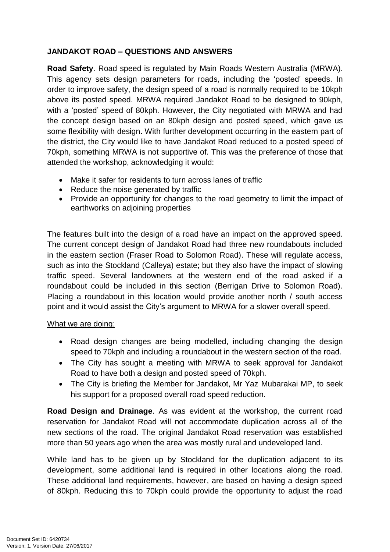## **JANDAKOT ROAD – QUESTIONS AND ANSWERS**

**Road Safety**. Road speed is regulated by Main Roads Western Australia (MRWA). This agency sets design parameters for roads, including the 'posted' speeds. In order to improve safety, the design speed of a road is normally required to be 10kph above its posted speed. MRWA required Jandakot Road to be designed to 90kph, with a 'posted' speed of 80kph. However, the City negotiated with MRWA and had the concept design based on an 80kph design and posted speed, which gave us some flexibility with design. With further development occurring in the eastern part of the district, the City would like to have Jandakot Road reduced to a posted speed of 70kph, something MRWA is not supportive of. This was the preference of those that attended the workshop, acknowledging it would:

- Make it safer for residents to turn across lanes of traffic
- Reduce the noise generated by traffic
- Provide an opportunity for changes to the road geometry to limit the impact of earthworks on adjoining properties

The features built into the design of a road have an impact on the approved speed. The current concept design of Jandakot Road had three new roundabouts included in the eastern section (Fraser Road to Solomon Road). These will regulate access, such as into the Stockland (Calleya) estate; but they also have the impact of slowing traffic speed. Several landowners at the western end of the road asked if a roundabout could be included in this section (Berrigan Drive to Solomon Road). Placing a roundabout in this location would provide another north / south access point and it would assist the City's argument to MRWA for a slower overall speed.

## What we are doing:

- Road design changes are being modelled, including changing the design speed to 70kph and including a roundabout in the western section of the road.
- The City has sought a meeting with MRWA to seek approval for Jandakot Road to have both a design and posted speed of 70kph.
- The City is briefing the Member for Jandakot, Mr Yaz Mubarakai MP, to seek his support for a proposed overall road speed reduction.

**Road Design and Drainage**. As was evident at the workshop, the current road reservation for Jandakot Road will not accommodate duplication across all of the new sections of the road. The original Jandakot Road reservation was established more than 50 years ago when the area was mostly rural and undeveloped land.

While land has to be given up by Stockland for the duplication adjacent to its development, some additional land is required in other locations along the road. These additional land requirements, however, are based on having a design speed of 80kph. Reducing this to 70kph could provide the opportunity to adjust the road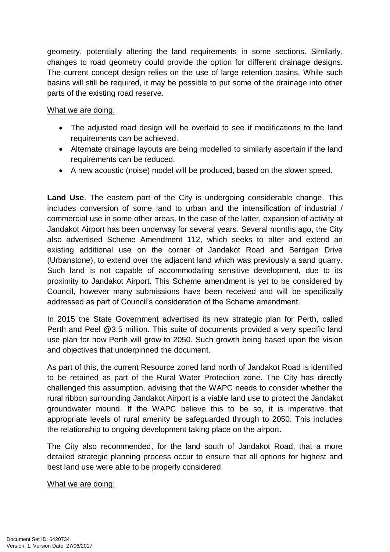geometry, potentially altering the land requirements in some sections. Similarly, changes to road geometry could provide the option for different drainage designs. The current concept design relies on the use of large retention basins. While such basins will still be required, it may be possible to put some of the drainage into other parts of the existing road reserve.

## What we are doing:

- The adjusted road design will be overlaid to see if modifications to the land requirements can be achieved.
- Alternate drainage layouts are being modelled to similarly ascertain if the land requirements can be reduced.
- A new acoustic (noise) model will be produced, based on the slower speed.

**Land Use**. The eastern part of the City is undergoing considerable change. This includes conversion of some land to urban and the intensification of industrial / commercial use in some other areas. In the case of the latter, expansion of activity at Jandakot Airport has been underway for several years. Several months ago, the City also advertised Scheme Amendment 112, which seeks to alter and extend an existing additional use on the corner of Jandakot Road and Berrigan Drive (Urbanstone), to extend over the adjacent land which was previously a sand quarry. Such land is not capable of accommodating sensitive development, due to its proximity to Jandakot Airport. This Scheme amendment is yet to be considered by Council, however many submissions have been received and will be specifically addressed as part of Council's consideration of the Scheme amendment.

In 2015 the State Government advertised its new strategic plan for Perth, called Perth and Peel @3.5 million. This suite of documents provided a very specific land use plan for how Perth will grow to 2050. Such growth being based upon the vision and objectives that underpinned the document.

As part of this, the current Resource zoned land north of Jandakot Road is identified to be retained as part of the Rural Water Protection zone. The City has directly challenged this assumption, advising that the WAPC needs to consider whether the rural ribbon surrounding Jandakot Airport is a viable land use to protect the Jandakot groundwater mound. If the WAPC believe this to be so, it is imperative that appropriate levels of rural amenity be safeguarded through to 2050. This includes the relationship to ongoing development taking place on the airport.

The City also recommended, for the land south of Jandakot Road, that a more detailed strategic planning process occur to ensure that all options for highest and best land use were able to be properly considered.

## What we are doing: